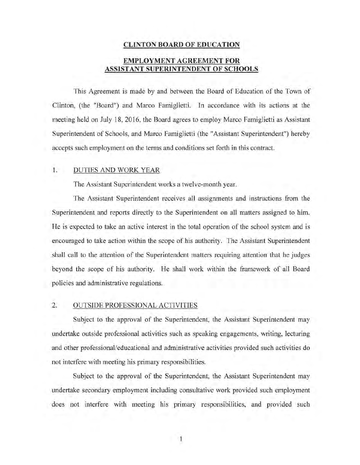# **CLINTON BOARD OF EDUCATION EMPLOYMENT AGREEMENT FOR ASSISTANT SUPERlNTENDENT OF SCHOOLS**

This Agreement is made by and between the Board of Education of the Town of Clinton, (the "Board") and Marco Famiglietti. In accordance with its actions at the meeting held on July 18, 2016, the Board agrees to employ Marco Famiglietti as Assistant Superintendent of Schools, and Marco Famiglietti (the "Assistant Superintendent") hereby accepts such employment on the terms and conditions set forth in this contract.

#### 1. DUTIES AND WORK YEAR

The Assistant Superintendent works a twelve-month year.

The Assistant Superintendent receives all assignments and instructions from the Superintendent and reports directly to the Superintendent on all matters assigned to him. He is expected to take an active interest in the total operation of the school system and is encouraged to take action within the scope of his authority. The Assistant Superintendent shall call to the attention of the Superintendent matters requiring attention that he judges beyond the scope of his authority. He shall work within the framework of all Board policies and administrative regulations.

#### 2. OUTSIDE PROFESSIONAL ACTIVITIES

Subject to the approval of the Superintendent, the Assistant Superintendent may undertake outside professional activities such as speaking engagements, writing, lecturing and other professional/educational and administrative activities provided such activities do not interfere with meeting his primary responsibilities.

Subject to the approval of the Superintendent, the Assistant Superintendent may undertake secondary employment including consultative work provided such employment does not interfere with meeting his primary responsibilities, and provided such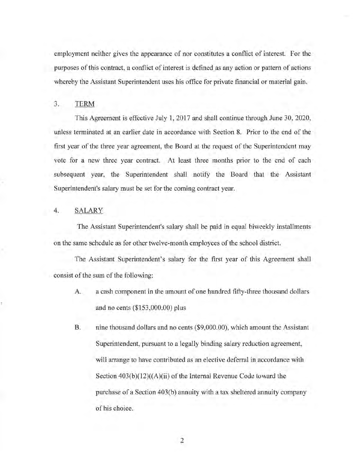employment neither gives the appearance of nor constitutes a conflict of interest. For the purposes of this contract, a conflict of interest is defined as any action or pattern of actions whereby the Assistant Superintendent uses his office for private financial or material gain.

#### 3. TERM

This Agreement is effective July 1, 2017 and shall continue through June 30, 2020, unless terminated at an earlier date in accordance with Section 8. Prior to the end of the first year of the three year agreement, the Board at the request of the Superintendent may vote for a new three year contract. At least three months prior to the end of each subsequent year, the Superintendent shall notify the Board that the Assistant Superintendent's salary must be set for the coming contract year.

## 4. SALARY

The Assistant Superintendent's salary shall be paid in equal biweekly installments on the same schedule as for other twelve-month employees of the school district.

The Assistant Superintendent's salary for the first year of this Agreement shall consist of the sum of the following:

- A. a cash component in the amount of one hundred fifty-three thousand dollars and no cents (\$153,000.00) plus
- B. nine thousand dollars and no cents (\$9,000.00), which amount the Assistant Superintendent, pursuant to a legally binding salary reduction agreement, will arrange to have contributed as an elective deferral in accordance with Section  $403(b)(12)((A)(ii)$  of the Internal Revenue Code toward the purchase of a Section 403(b) annuity with a tax sheltered annuity company of his choice.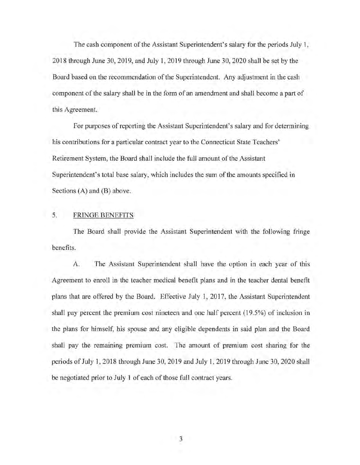The cash component of the Assistant Superintendent's salary for the periods July 1, 2018 through June 30,2019, and July 1, 2019 through June 30,2020 shall be set by the Board based on the recommendation of the Superintendent. Any adjustment in the cash component of the salary shall be in the form of an amendment and shall become a part of this Agreement.

For purposes of reporting the Assistant Superintendent's salary and for determining his contributions for a particular contract year to the Connecticut State Teachers' Retirement System, the Board shall include the full amount of the Assistant Superintendent's total base salary, which includes the sum of the amounts specified in Sections (A) and (B) above.

# 5. FRINGE BENEFITS

The Board shall provide the Assistant Superintendent with the following fringe benefits.

A. The Assistant Superintendent shall have the option in each year of this Agreement to enroll in the teacher medical benefit plans and in the teacher dental benefit plans that are offered by the Board. Effective July 1, 2017, the Assistant Superintendent shall pay percent the premium cost nineteen and one half percent (19.5%) of inclusion in the plans for himself, his spouse and any eligible dependents in said plan and the Board shall pay the remaining premium cost. The amount of premium cost sharing for the periods of July 1, 2018 through June 30,2019 and July 1, 2019 through June 30,2020 shall be negotiated prior to July 1 of each of those full contract years.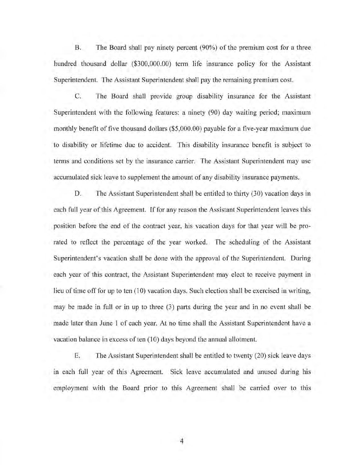B. The Board shall pay ninety percent (90%) of the premium cost for a three hundred thousand dollar (\$300,000.00) term life insurance policy for the Assistant Superintendent. The Assistant Superintendent shall pay the remaining premium cost.

C. The Board shall provide group disability insurance for the Assistant Superintendent with the following features: a ninety (90) day waiting period; maximum monthly benefit of five thousand dollars (\$5,000.00) payable for a five-year maximum due to disability or lifetime due to accident. This disability insurance benefit is subject to terms and conditions set by the insurance carrier. The Assistant Superintendent may use accumulated sick leave to supplement the amount of any disability insurance payments.

D. The Assistant Superintendent shall be entitled to thirty (30) vacation days in each full year of this Agreement. If for any reason the Assistant Superintendent leaves this position before the end of the contract year, his vacation days for that year will be prorated to reflect the percentage of the year worked. The scheduling of the Assistant Superintendent's vacation shall be done with the approval of the Superintendent. During each year of this contract, the Assistant Superintendent may elect to receive payment in lieu of time off for up to ten (10) vacation days. Such election shall be exercised in writing, may be made in full or in up to three (3) parts during the year and in no event shall be made later than June 1 of each year. At no time shall the Assistant Superintendent have a vacation balance in excess of ten (10) days beyond the annual allotment.

E. The Assistant Superintendent shall be entitled to twenty (20) sick leave days m each full year of this Agreement. Sick leave accumulated and unused during his employment with the Board prior to this Agreement shall be carried over to this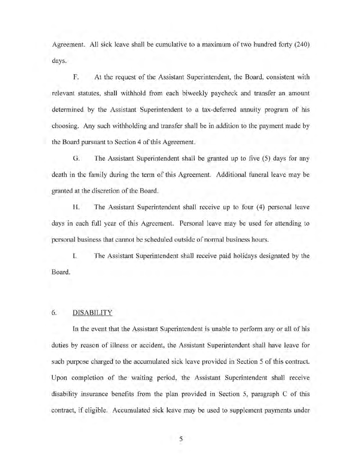Agreement. All sick leave shall be cumulative to a maximum of two hundred forty (240) days.

F. At the request of the Assistant Superintendent, the Board, consistent with relevant statutes, shall withhold from each biweekly paycheck and transfer an amount determined by the Assistant Superintendent to a tax-deferred annuity program of his choosing. Any such withholding and transfer shall be in addition to the payment made by the Board pursuant to Section 4 of this Agreement.

G. The Assistant Superintendent shall be granted up to five (5) days for any death in the family during the term of this Agreement. Additional funeral leave may be granted at the discretion of the Board.

H. The Assistant Superintendent shall receive up to four (4) personal leave days in each full year of this Agreement. Personal leave may be used for attending to personal business that cannot be scheduled outside of normal business hours.

I. The Assistant Superintendent shall receive paid holidays designated by the Board.

#### 6. DISABILITY

In the event that the Assistant Superintendent is unable to perform any or all of his duties by reason of illness or accident, the Assistant Superintendent shall have leave for such purpose charged to the accumulated sick leave provided in Section 5 of this contract. Upon completion of the waiting period, the Assistant Superintendent shall receive disability insurance benefits from the plan provided in Section 5, paragraph C of this contract, if eligible. Accumulated sick leave may be used to supplement payments under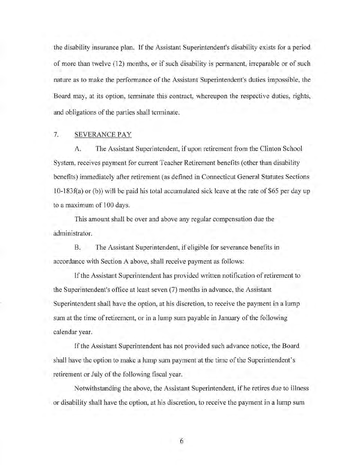the disability insurance plan. If the Assistant Superintendent's disability exists for a period of more than twelve (12) months, or if such disability is permanent, irreparable or of such nature as to make the performance of the Assistant Superintendent's duties impossible, the Board may, at its option, terminate this contract, whereupon the respective duties, rights, and obligations of the parties shall terminate.

# 7. SEVERANCE PAY

A. The Assistant Superintendent, if upon retirement from the Clinton School System, receives payment for current Teacher Retirement benefits (other than disability benefits) immediately after retirement (as defined in Connecticut General Statutes Sections  $10-183f(a)$  or (b)) will be paid his total accumulated sick leave at the rate of \$65 per day up to a maximum of 100 days.

This amount shall be over and above any regular compensation due the administrator.

B. The Assistant Superintendent, if eligible for severance benefits in accordance with Section A above, shall receive payment as follows:

If the Assistant Superintendent has provided written notification of retirement to the Superintendent's office at least seven (7) months in advance, the Assistant Superintendent shall have the option, at his discretion, to receive the payment in a lump sum at the time of retirement, or in a lump sum payable in January of the following calendar year.

If the Assistant Superintendent has not provided such advance notice, the Board shall have the option to make a lump sum payment at the time of the Superintendent's retirement or July of the following fiscal year.

Notwithstanding the above, the Assistant Superintendent, if he retires due to illness or disability shall have the option, at his discretion, to receive the payment in a lump sum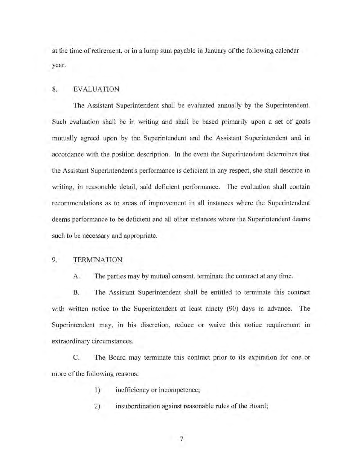at the time of retirement, or in a lump sum payable in January of the following calendar year.

#### 8. EVALUATION

The Assistant Superintendent shall be evaluated annually by the Superintendent. Such evaluation shall be in writing and shall be based primarily upon a set of goals mutually agreed upon by the Superintendent and the Assistant Superintendent and in accordance with the position description. In the event the Superintendent determines that the Assistant Superintendent's performance is deficient in any respect, she shall describe in writing, in reasonable detail, said deficient performance. The evaluation shall contain recommendations as to areas of improvement in all instances where the Superintendent deems performance to be deficient and all other instances where the Superintendent deems such to be necessary and appropriate.

### 9. TERMINATION

A. The parties may by mutual consent, terminate the contract at any time.

B. The Assistant Superintendent shall be entitled to terminate this contract with written notice to the Superintendent at least ninety (90) days in advance. The Superintendent may, in his discretion, reduce or waive this notice requirement in extraordinary circumstances.

C. The Board may terminate this contract prior to its expiration for one or more of the following reasons:

- 1) inefficiency or incompetence;
- 2) insubordination against reasonable rules of the Board;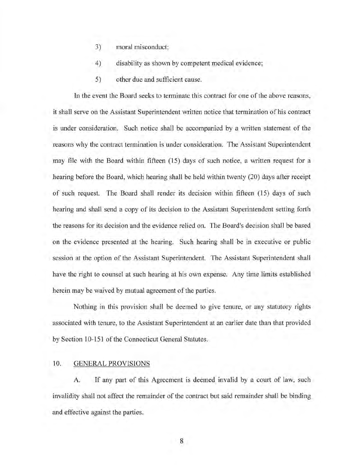- 3) moral misconduct;
- 4) disability as shown by competent medical evidence;
- 5) other due and sufficient cause.

In the event the Board seeks to terminate this contract for one of the above reasons, it shall serve on the Assistant Superintendent written notice that termination of his contract is under consideration. Such notice shall be accompanied by a written statement of the reasons why the contract termination is under consideration. The Assistant Superintendent may file with the Board within fifteen (15) days of such notice, a written request for a hearing before the Board, which hearing shall be held within twenty (20) days after receipt of such request. The Board shall render its decision within fifteen (15) days of such hearing and shall send a copy of its decision to the Assistant Superintendent setting forth the reasons for its decision and the evidence relied on. The Board's decision shall be based on the evidence presented at the hearing. Such hearing shall be in executive or public session at the option of the Assistant Superintendent. The Assistant Superintendent shall have the right to counsel at such hearing at his own expense. Any time limits established herein may be waived by mutual agreement of the parties.

Nothing in this provision shall be deemed to give tenure, or any statutory rights associated with tenure, to the Assistant Superintendent at an earlier date than that provided by Section 10-151 of the Connecticut General Statutes.

#### 10. GENERAL PROVISIONS

A. If any part of this Agreement is deemed invalid by a court of law, such invalidity shall not affect the remainder of the contract but said remainder shall be binding and effective against the parties.